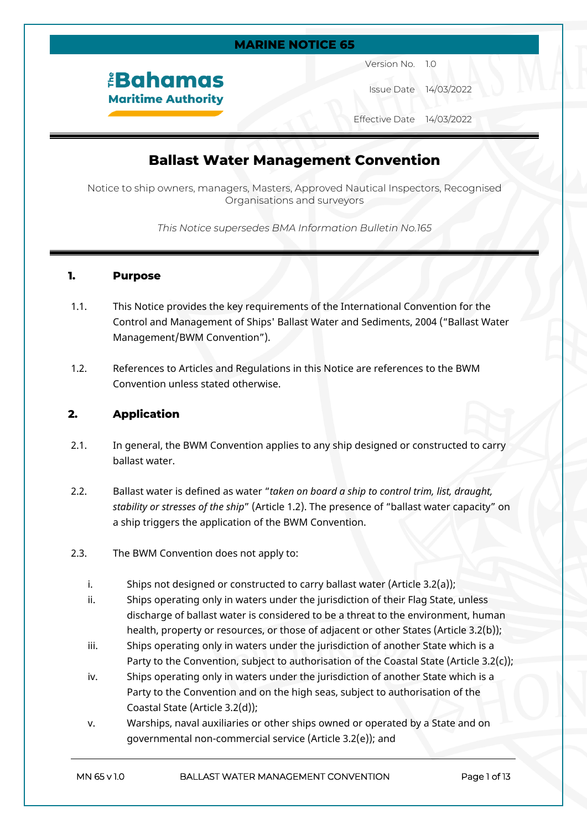#### **MARINE NOTICE 65**

*<u><b>EBahamas</u>* **Maritime Authority**  Version No. 1.0

Issue Date 14/03/2022

Effective Date 14/03/2022

## **Ballast Water Management Convention**

Notice to ship owners, managers, Masters, Approved Nautical Inspectors, Recognised Organisations and surveyors

*This Notice supersedes BMA Information Bulletin No.165*

#### **1. Purpose**

- 1.1. This Notice provides the key requirements of the International Convention for the Control and Management of Ships' Ballast Water and Sediments, 2004 ("Ballast Water Management/BWM Convention").
- 1.2. References to Articles and Regulations in this Notice are references to the BWM Convention unless stated otherwise.

#### **2. Application**

- 2.1. In general, the BWM Convention applies to any ship designed or constructed to carry ballast water.
- 2.2. Ballast water is defined as water "*taken on board a ship to control trim, list, draught, stability or stresses of the ship*" (Article 1.2). The presence of "ballast water capacity" on a ship triggers the application of the BWM Convention.
- 2.3. The BWM Convention does not apply to:
	- i. Ships not designed or constructed to carry ballast water (Article 3.2(a));
	- ii. Ships operating only in waters under the jurisdiction of their Flag State, unless discharge of ballast water is considered to be a threat to the environment, human health, property or resources, or those of adjacent or other States (Article 3.2(b));
	- iii. Ships operating only in waters under the jurisdiction of another State which is a Party to the Convention, subject to authorisation of the Coastal State (Article 3.2(c));
	- iv. Ships operating only in waters under the jurisdiction of another State which is a Party to the Convention and on the high seas, subject to authorisation of the Coastal State (Article 3.2(d));
	- v. Warships, naval auxiliaries or other ships owned or operated by a State and on governmental non-commercial service (Article 3.2(e)); and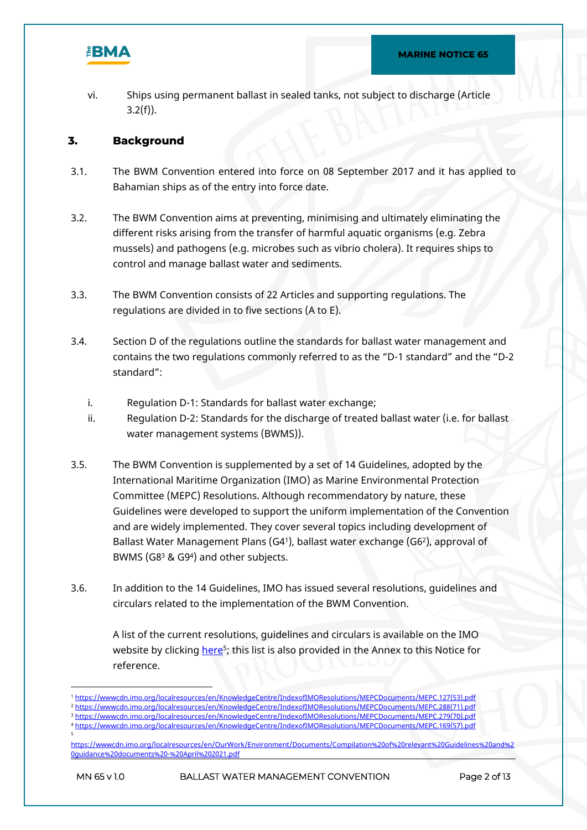

vi. Ships using permanent ballast in sealed tanks, not subject to discharge (Article  $3.2(f)$ ).

#### **3. Background**

- 3.1. The BWM Convention entered into force on 08 September 2017 and it has applied to Bahamian ships as of the entry into force date.
- 3.2. The BWM Convention aims at preventing, minimising and ultimately eliminating the different risks arising from the transfer of harmful aquatic organisms (e.g. Zebra mussels) and pathogens (e.g. microbes such as vibrio cholera). It requires ships to control and manage ballast water and sediments.
- 3.3. The BWM Convention consists of 22 Articles and supporting regulations. The regulations are divided in to five sections (A to E).
- 3.4. Section D of the regulations outline the standards for ballast water management and contains the two regulations commonly referred to as the "D-1 standard" and the "D-2 standard":
	- i. Regulation D-1: Standards for ballast water exchange;
	- ii. Regulation D-2: Standards for the discharge of treated ballast water (i.e. for ballast water management systems (BWMS)).
- 3.5. The BWM Convention is supplemented by a set of 14 Guidelines, adopted by the International Maritime Organization (IMO) as Marine Environmental Protection Committee (MEPC) Resolutions. Although recommendatory by nature, these Guidelines were developed to support the uniform implementation of the Convention and are widely implemented. They cover several topics including development of Ballast Water Management Plans (G4<sup>1</sup> ), ballast water exchange (G6<sup>2</sup> ), approval of BWMS (G8<sup>3</sup> & G9<sup>4</sup>) and other subjects.
- 3.6. In addition to the 14 Guidelines, IMO has issued several resolutions, guidelines and circulars related to the implementation of the BWM Convention.

A list of the current resolutions, guidelines and circulars is available on the IMO website by clicking <u>[here](https://wwwcdn.imo.org/localresources/en/OurWork/Environment/Documents/Compilation%20of%20relevant%20Guidelines%20and%20guidance%20documents%20-%20April%202021.pdf)</u><sup>s</sup>; this list is also provided in the Annex to this Notice for reference.

<sup>1</sup> [https://wwwcdn.imo.org/localresources/en/KnowledgeCentre/IndexofIMOResolutions/MEPCDocuments/MEPC.127\(53\).pdf](https://wwwcdn.imo.org/localresources/en/KnowledgeCentre/IndexofIMOResolutions/MEPCDocuments/MEPC.127(53).pdf) <sup>2</sup> [https://wwwcdn.imo.org/localresources/en/KnowledgeCentre/IndexofIMOResolutions/MEPCDocuments/MEPC.288\(71\).pdf](https://wwwcdn.imo.org/localresources/en/KnowledgeCentre/IndexofIMOResolutions/MEPCDocuments/MEPC.288(71).pdf)

<sup>3</sup> [https://wwwcdn.imo.org/localresources/en/KnowledgeCentre/IndexofIMOResolutions/MEPCDocuments/MEPC.279\(70\).pdf](https://wwwcdn.imo.org/localresources/en/KnowledgeCentre/IndexofIMOResolutions/MEPCDocuments/MEPC.279(70).pdf)

<sup>4</sup> [https://wwwcdn.imo.org/localresources/en/KnowledgeCentre/IndexofIMOResolutions/MEPCDocuments/MEPC.169\(57\).pdf](https://wwwcdn.imo.org/localresources/en/KnowledgeCentre/IndexofIMOResolutions/MEPCDocuments/MEPC.169(57).pdf) 5

[https://wwwcdn.imo.org/localresources/en/OurWork/Environment/Documents/Compilation%20of%20relevant%20Guidelines%20and%2](https://wwwcdn.imo.org/localresources/en/OurWork/Environment/Documents/Compilation%20of%20relevant%20Guidelines%20and%20guidance%20documents%20-%20April%202021.pdf) [0guidance%20documents%20-%20April%202021.pdf](https://wwwcdn.imo.org/localresources/en/OurWork/Environment/Documents/Compilation%20of%20relevant%20Guidelines%20and%20guidance%20documents%20-%20April%202021.pdf)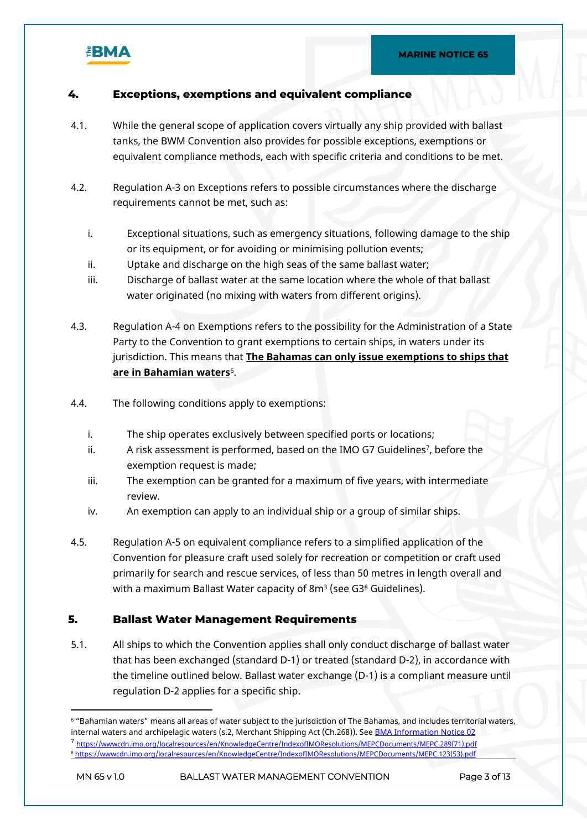

### **4. Exceptions, exemptions and equivalent compliance**

- 4.1. While the general scope of application covers virtually any ship provided with ballast tanks, the BWM Convention also provides for possible exceptions, exemptions or equivalent compliance methods, each with specific criteria and conditions to be met.
- 4.2. Regulation A-3 on Exceptions refers to possible circumstances where the discharge requirements cannot be met, such as:
	- i. Exceptional situations, such as emergency situations, following damage to the ship or its equipment, or for avoiding or minimising pollution events;
	- ii. Uptake and discharge on the high seas of the same ballast water;
	- iii. Discharge of ballast water at the same location where the whole of that ballast water originated (no mixing with waters from different origins).
- 4.3. Regulation A-4 on Exemptions refers to the possibility for the Administration of a State Party to the Convention to grant exemptions to certain ships, in waters under its jurisdiction. This means that **The Bahamas can only issue exemptions to ships that are in Bahamian waters**<sup>6</sup> .
- 4.4. The following conditions apply to exemptions:
	- i. The ship operates exclusively between specified ports or locations;
	- ii. A risk assessment is performed, based on the IMO G7 Guidelines<sup>7</sup>, before the exemption request is made;
	- iii. The exemption can be granted for a maximum of five years, with intermediate review.
	- iv. An exemption can apply to an individual ship or a group of similar ships.
- 4.5. Regulation A-5 on equivalent compliance refers to a simplified application of the Convention for pleasure craft used solely for recreation or competition or craft used primarily for search and rescue services, of less than 50 metres in length overall and with a maximum Ballast Water capacity of 8m $^{\rm 3}$  (see G3 $^{\rm 8}$  Guidelines).

#### **5. Ballast Water Management Requirements**

5.1. All ships to which the Convention applies shall only conduct discharge of ballast water that has been exchanged (standard D-1) or treated (standard D-2), in accordance with the timeline outlined below. Ballast water exchange (D-1) is a compliant measure until regulation D-2 applies for a specific ship.

 $^{\rm 6}$  "Bahamian waters" means all areas of water subject to the jurisdiction of The Bahamas, and includes territorial waters, internal waters and archipelagic waters (s.2, Merchant Shipping Act (Ch.268)). See [BMA Information Notice 02](https://www.bahamasmaritime.com/wp-content/uploads/2021/09/IN002-Bahamas-Archipelagic-Baselines.pdf) <sup>7</sup> [https://wwwcdn.imo.org/localresources/en/KnowledgeCentre/IndexofIMOResolutions/MEPCDocuments/MEPC.289\(71\).pdf](https://wwwcdn.imo.org/localresources/en/KnowledgeCentre/IndexofIMOResolutions/MEPCDocuments/MEPC.289(71).pdf) <sup>8</sup> [https://wwwcdn.imo.org/localresources/en/KnowledgeCentre/IndexofIMOResolutions/MEPCDocuments/MEPC.123\(53\).pdf](https://wwwcdn.imo.org/localresources/en/KnowledgeCentre/IndexofIMOResolutions/MEPCDocuments/MEPC.123(53).pdf)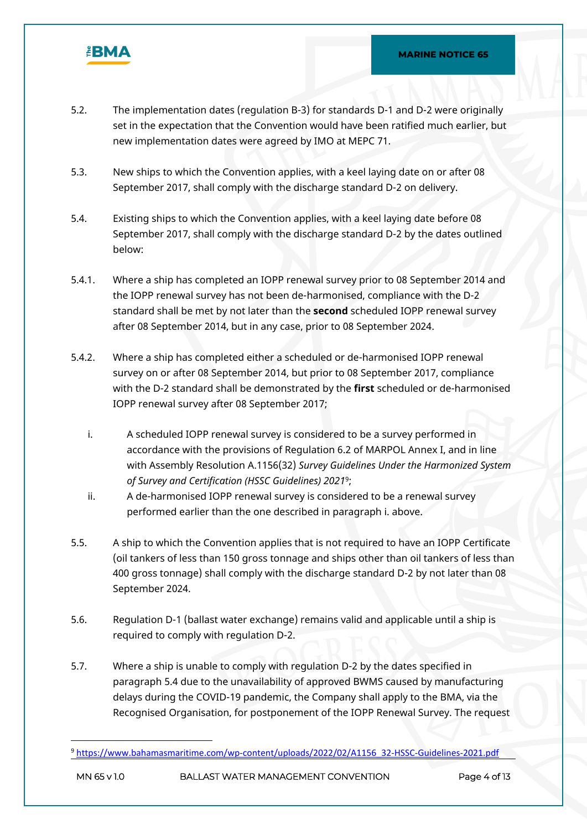

- 5.2. The implementation dates (regulation B-3) for standards D-1 and D-2 were originally set in the expectation that the Convention would have been ratified much earlier, but new implementation dates were agreed by IMO at MEPC 71.
- 5.3. New ships to which the Convention applies, with a keel laying date on or after 08 September 2017, shall comply with the discharge standard D-2 on delivery.
- 5.4. Existing ships to which the Convention applies, with a keel laying date before 08 September 2017, shall comply with the discharge standard D-2 by the dates outlined below:
- 5.4.1. Where a ship has completed an IOPP renewal survey prior to 08 September 2014 and the IOPP renewal survey has not been de-harmonised, compliance with the D-2 standard shall be met by not later than the **second** scheduled IOPP renewal survey after 08 September 2014, but in any case, prior to 08 September 2024.
- 5.4.2. Where a ship has completed either a scheduled or de-harmonised IOPP renewal survey on or after 08 September 2014, but prior to 08 September 2017, compliance with the D-2 standard shall be demonstrated by the **first** scheduled or de-harmonised IOPP renewal survey after 08 September 2017;
	- i. A scheduled IOPP renewal survey is considered to be a survey performed in accordance with the provisions of Regulation 6.2 of MARPOL Annex I, and in line with Assembly Resolution A.1156(32) *Survey Guidelines Under the Harmonized System of Survey and Certification (HSSC Guidelines) 2021*<sup>9</sup> ;
	- ii. A de-harmonised IOPP renewal survey is considered to be a renewal survey performed earlier than the one described in paragraph i. above.
- 5.5. A ship to which the Convention applies that is not required to have an IOPP Certificate (oil tankers of less than 150 gross tonnage and ships other than oil tankers of less than 400 gross tonnage) shall comply with the discharge standard D-2 by not later than 08 September 2024.
- 5.6. Regulation D-1 (ballast water exchange) remains valid and applicable until a ship is required to comply with regulation D-2.
- 5.7. Where a ship is unable to comply with regulation D-2 by the dates specified in paragraph 5.4 due to the unavailability of approved BWMS caused by manufacturing delays during the COVID-19 pandemic, the Company shall apply to the BMA, via the Recognised Organisation, for postponement of the IOPP Renewal Survey. The request

<sup>9</sup> [https://www.bahamasmaritime.com/wp-content/uploads/2022/02/A1156\\_32-HSSC-Guidelines-2021.pdf](https://www.bahamasmaritime.com/wp-content/uploads/2022/02/A1156_32-HSSC-Guidelines-2021.pdf)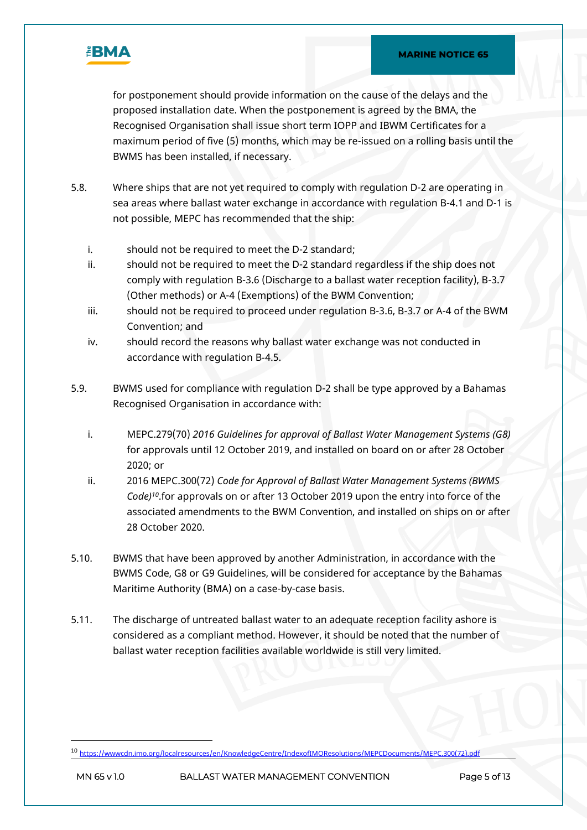

for postponement should provide information on the cause of the delays and the proposed installation date. When the postponement is agreed by the BMA, the Recognised Organisation shall issue short term IOPP and IBWM Certificates for a maximum period of five (5) months, which may be re-issued on a rolling basis until the BWMS has been installed, if necessary.

- 5.8. Where ships that are not yet required to comply with regulation D-2 are operating in sea areas where ballast water exchange in accordance with regulation B-4.1 and D-1 is not possible, MEPC has recommended that the ship:
	- i. should not be required to meet the D-2 standard;
	- ii. should not be required to meet the D-2 standard regardless if the ship does not comply with regulation B-3.6 (Discharge to a ballast water reception facility), B-3.7 (Other methods) or A-4 (Exemptions) of the BWM Convention;
	- iii. should not be required to proceed under regulation B-3.6, B-3.7 or A-4 of the BWM Convention; and
	- iv. should record the reasons why ballast water exchange was not conducted in accordance with regulation B-4.5.
- 5.9. BWMS used for compliance with regulation D-2 shall be type approved by a Bahamas Recognised Organisation in accordance with:
	- i. MEPC.279(70) *2016 Guidelines for approval of Ballast Water Management Systems (G8)* for approvals until 12 October 2019, and installed on board on or after 28 October 2020; or
	- ii. 2016 MEPC.300(72) *Code for Approval of Ballast Water Management Systems (BWMS Code)<sup>10</sup>*.for approvals on or after 13 October 2019 upon the entry into force of the associated amendments to the BWM Convention, and installed on ships on or after 28 October 2020.
- 5.10. BWMS that have been approved by another Administration, in accordance with the BWMS Code, G8 or G9 Guidelines, will be considered for acceptance by the Bahamas Maritime Authority (BMA) on a case-by-case basis.
- 5.11. The discharge of untreated ballast water to an adequate reception facility ashore is considered as a compliant method. However, it should be noted that the number of ballast water reception facilities available worldwide is still very limited.

<sup>10</sup> [https://wwwcdn.imo.org/localresources/en/KnowledgeCentre/IndexofIMOResolutions/MEPCDocuments/MEPC.300\(72\).pdf](https://wwwcdn.imo.org/localresources/en/KnowledgeCentre/IndexofIMOResolutions/MEPCDocuments/MEPC.300(72).pdf)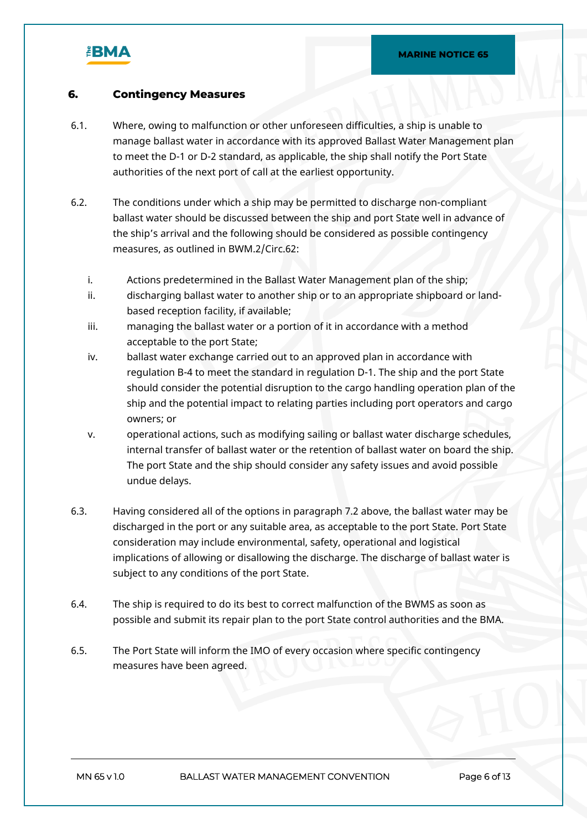

#### **6. Contingency Measures**

- 6.1. Where, owing to malfunction or other unforeseen difficulties, a ship is unable to manage ballast water in accordance with its approved Ballast Water Management plan to meet the D-1 or D-2 standard, as applicable, the ship shall notify the Port State authorities of the next port of call at the earliest opportunity.
- 6.2. The conditions under which a ship may be permitted to discharge non-compliant ballast water should be discussed between the ship and port State well in advance of the ship's arrival and the following should be considered as possible contingency measures, as outlined in BWM.2/Circ.62:
	- i. Actions predetermined in the Ballast Water Management plan of the ship;
	- ii. discharging ballast water to another ship or to an appropriate shipboard or landbased reception facility, if available;
	- iii. managing the ballast water or a portion of it in accordance with a method acceptable to the port State;
	- iv. ballast water exchange carried out to an approved plan in accordance with regulation B-4 to meet the standard in regulation D-1. The ship and the port State should consider the potential disruption to the cargo handling operation plan of the ship and the potential impact to relating parties including port operators and cargo owners; or
	- v. operational actions, such as modifying sailing or ballast water discharge schedules, internal transfer of ballast water or the retention of ballast water on board the ship. The port State and the ship should consider any safety issues and avoid possible undue delays.
- 6.3. Having considered all of the options in paragraph 7.2 above, the ballast water may be discharged in the port or any suitable area, as acceptable to the port State. Port State consideration may include environmental, safety, operational and logistical implications of allowing or disallowing the discharge. The discharge of ballast water is subject to any conditions of the port State.
- 6.4. The ship is required to do its best to correct malfunction of the BWMS as soon as possible and submit its repair plan to the port State control authorities and the BMA.
- 6.5. The Port State will inform the IMO of every occasion where specific contingency measures have been agreed.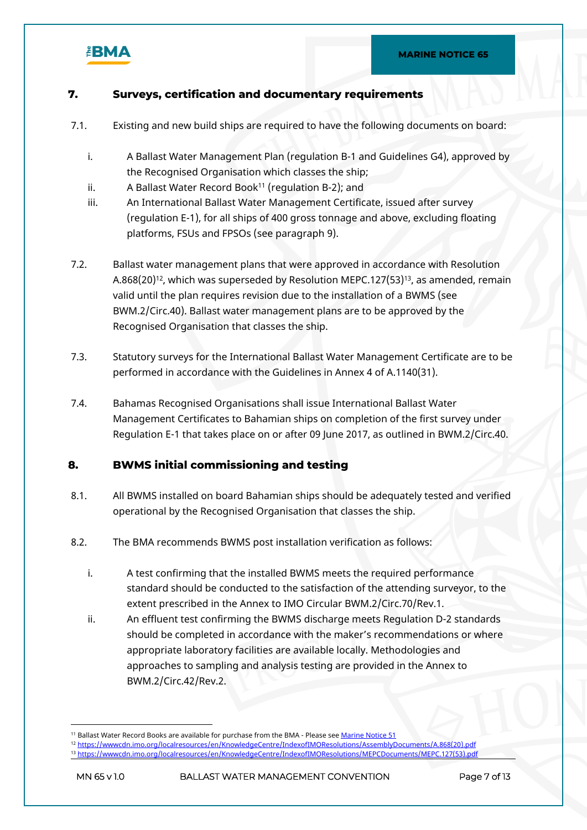

### **7. Surveys, certification and documentary requirements**

- 7.1. Existing and new build ships are required to have the following documents on board:
	- i. A Ballast Water Management Plan (regulation B-1 and Guidelines G4), approved by the Recognised Organisation which classes the ship;
	- ii. A Ballast Water Record Book<sup>11</sup> (regulation B-2); and
	- iii. An International Ballast Water Management Certificate, issued after survey (regulation E-1), for all ships of 400 gross tonnage and above, excluding floating platforms, FSUs and FPSOs (see paragraph 9).
- 7.2. Ballast water management plans that were approved in accordance with Resolution A.868(20)<sup>12</sup>, which was superseded by Resolution MEPC.127(53)<sup>13</sup>, as amended, remain valid until the plan requires revision due to the installation of a BWMS (see BWM.2/Circ.40). Ballast water management plans are to be approved by the Recognised Organisation that classes the ship.
- 7.3. Statutory surveys for the International Ballast Water Management Certificate are to be performed in accordance with the Guidelines in Annex 4 of A.1140(31).
- 7.4. Bahamas Recognised Organisations shall issue International Ballast Water Management Certificates to Bahamian ships on completion of the first survey under Regulation E-1 that takes place on or after 09 June 2017, as outlined in BWM.2/Circ.40.

#### **8. BWMS initial commissioning and testing**

- 8.1. All BWMS installed on board Bahamian ships should be adequately tested and verified operational by the Recognised Organisation that classes the ship.
- 8.2. The BMA recommends BWMS post installation verification as follows:
	- i. A test confirming that the installed BWMS meets the required performance standard should be conducted to the satisfaction of the attending surveyor, to the extent prescribed in the Annex to IMO Circular BWM.2/Circ.70/Rev.1.
	- ii. An effluent test confirming the BWMS discharge meets Regulation D-2 standards should be completed in accordance with the maker's recommendations or where appropriate laboratory facilities are available locally. Methodologies and approaches to sampling and analysis testing are provided in the Annex to BWM.2/Circ.42/Rev.2.

<sup>&</sup>lt;sup>11</sup> Ballast Water Record Books are available for purchase from the BMA - Please see [Marine Notice 51](https://www.bahamasmaritime.com/wp-content/uploads/2021/11/MN051-Publications-v1.0-ID-2543438.pdf)

<sup>12</sup> [https://wwwcdn.imo.org/localresources/en/KnowledgeCentre/IndexofIMOResolutions/AssemblyDocuments/A.868\(20\).pdf](https://wwwcdn.imo.org/localresources/en/KnowledgeCentre/IndexofIMOResolutions/AssemblyDocuments/A.868(20).pdf)

<sup>13</sup> [https://wwwcdn.imo.org/localresources/en/KnowledgeCentre/IndexofIMOResolutions/MEPCDocuments/MEPC.127\(53\).pdf](https://wwwcdn.imo.org/localresources/en/KnowledgeCentre/IndexofIMOResolutions/MEPCDocuments/MEPC.127(53).pdf)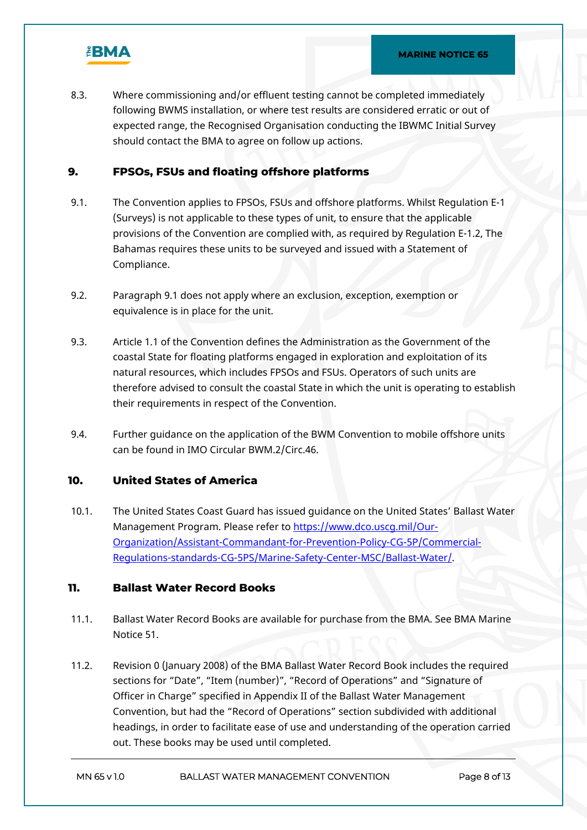

8.3. Where commissioning and/or effluent testing cannot be completed immediately following BWMS installation, or where test results are considered erratic or out of expected range, the Recognised Organisation conducting the IBWMC Initial Survey should contact the BMA to agree on follow up actions.

#### **9. FPSOs, FSUs and floating offshore platforms**

- 9.1. The Convention applies to FPSOs, FSUs and offshore platforms. Whilst Regulation E-1 (Surveys) is not applicable to these types of unit, to ensure that the applicable provisions of the Convention are complied with, as required by Regulation E-1.2, The Bahamas requires these units to be surveyed and issued with a Statement of Compliance.
- 9.2. Paragraph 9.1 does not apply where an exclusion, exception, exemption or equivalence is in place for the unit.
- 9.3. Article 1.1 of the Convention defines the Administration as the Government of the coastal State for floating platforms engaged in exploration and exploitation of its natural resources, which includes FPSOs and FSUs. Operators of such units are therefore advised to consult the coastal State in which the unit is operating to establish their requirements in respect of the Convention.
- 9.4. Further guidance on the application of the BWM Convention to mobile offshore units can be found in IMO Circular BWM.2/Circ.46.

#### **10. United States of America**

10.1. The United States Coast Guard has issued guidance on the United States' Ballast Water Management Program. Please refer to [https://www.dco.uscg.mil/Our-](https://www.dco.uscg.mil/Our-Organization/Assistant-Commandant-for-Prevention-Policy-CG-5P/Commercial-Regulations-standards-CG-5PS/Marine-Safety-Center-MSC/Ballast-Water/)[Organization/Assistant-Commandant-for-Prevention-Policy-CG-5P/Commercial-](https://www.dco.uscg.mil/Our-Organization/Assistant-Commandant-for-Prevention-Policy-CG-5P/Commercial-Regulations-standards-CG-5PS/Marine-Safety-Center-MSC/Ballast-Water/)[Regulations-standards-CG-5PS/Marine-Safety-Center-MSC/Ballast-Water/.](https://www.dco.uscg.mil/Our-Organization/Assistant-Commandant-for-Prevention-Policy-CG-5P/Commercial-Regulations-standards-CG-5PS/Marine-Safety-Center-MSC/Ballast-Water/)

### **11. Ballast Water Record Books**

- 11.1. Ballast Water Record Books are available for purchase from the BMA. See BMA Marine Notice 51.
- 11.2. Revision 0 (January 2008) of the BMA Ballast Water Record Book includes the required sections for "Date", "Item (number)", "Record of Operations" and "Signature of Officer in Charge" specified in Appendix II of the Ballast Water Management Convention, but had the "Record of Operations" section subdivided with additional headings, in order to facilitate ease of use and understanding of the operation carried out. These books may be used until completed.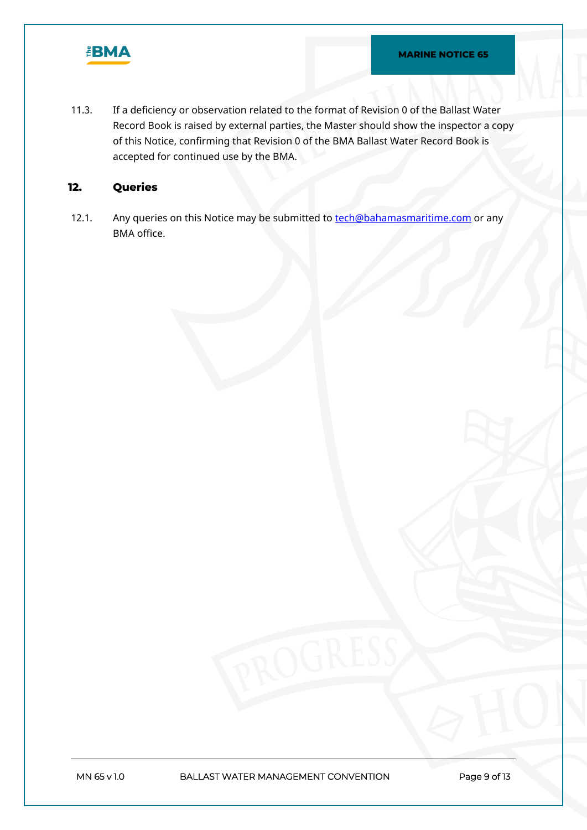

11.3. If a deficiency or observation related to the format of Revision 0 of the Ballast Water Record Book is raised by external parties, the Master should show the inspector a copy of this Notice, confirming that Revision 0 of the BMA Ballast Water Record Book is accepted for continued use by the BMA.

### **12. Queries**

12.1. Any queries on this Notice may be submitted to **[tech@bahamasmaritime.com](mailto:tech@bahamasmaritime.com)** or any BMA office.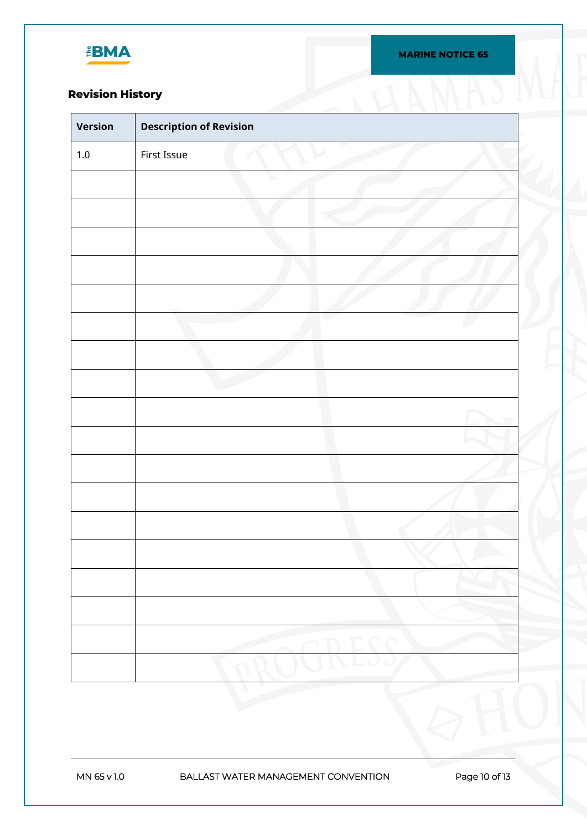

**MARINE NOTICE 65**

# **Revision History**

| <b>Revision History</b> |                                |
|-------------------------|--------------------------------|
| Version                 | <b>Description of Revision</b> |
| $1.0\,$                 | First Issue                    |
|                         |                                |
|                         |                                |
|                         |                                |
|                         |                                |
|                         |                                |
|                         |                                |
|                         |                                |
|                         |                                |
|                         |                                |
|                         |                                |
|                         |                                |
|                         |                                |
|                         |                                |
|                         |                                |
|                         |                                |
|                         |                                |
|                         |                                |
|                         |                                |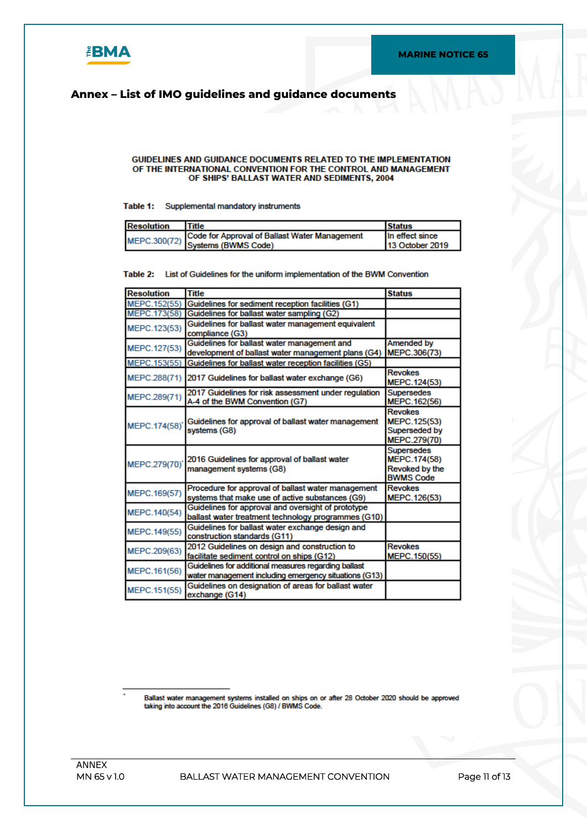

### **Annex – List of IMO guidelines and guidance documents**

#### **GUIDELINES AND GUIDANCE DOCUMENTS RELATED TO THE IMPLEMENTATION** OF THE INTERNATIONAL CONVENTION FOR THE CONTROL AND MANAGEMENT OF SHIPS' BALLAST WATER AND SEDIMENTS, 2004

#### Table 1: Supplemental mandatory instruments

| Resolution | Title                                                                             | <b>Status</b>          |
|------------|-----------------------------------------------------------------------------------|------------------------|
|            | MEPC.300(72) Code for Approval of Ballast Water Management<br>Systems (BWMS Code) | In effect since        |
|            |                                                                                   | <b>13 October 2019</b> |

#### Table 2: List of Guidelines for the uniform implementation of the BWM Convention

| <b>Resolution</b> | <b>Title</b>                                                                                                  | <b>Status</b>                                                           |
|-------------------|---------------------------------------------------------------------------------------------------------------|-------------------------------------------------------------------------|
| MEPC.152(55)      | Guidelines for sediment reception facilities (G1)                                                             |                                                                         |
| MEPC.173(58)      | Guidelines for ballast water sampling (G2)                                                                    |                                                                         |
| MEPC.123(53)      | Guidelines for ballast water management equivalent<br>compliance (G3)                                         |                                                                         |
| MEPC.127(53)      | Guidelines for ballast water management and<br>development of ballast water management plans (G4)             | Amended by<br>MEPC.306(73)                                              |
| MEPC.153(55)      | Guidelines for ballast water reception facilities (G5)                                                        |                                                                         |
| MEPC.288(71)      | 2017 Guidelines for ballast water exchange (G6)                                                               | <b>Revokes</b><br>MEPC.124(53)                                          |
| MEPC.289(71)      | 2017 Guidelines for risk assessment under regulation<br>A-4 of the BWM Convention (G7)                        | <b>Supersedes</b><br>MEPC.162(56)                                       |
| MEPC.174(58)'     | Guidelines for approval of ballast water management<br>systems (G8)                                           | <b>Revokes</b><br>MEPC.125(53)<br>Superseded by<br>MEPC.279(70)         |
| MEPC.279(70)      | 2016 Guidelines for approval of ballast water<br>management systems (G8)                                      | <b>Supersedes</b><br>MEPC.174(58)<br>Revoked by the<br><b>BWMS Code</b> |
| MEPC.169(57)      | Procedure for approval of ballast water management<br>systems that make use of active substances (G9)         | <b>Revokes</b><br>MEPC.126(53)                                          |
| MEPC.140(54)      | Guidelines for approval and oversight of prototype<br>ballast water treatment technology programmes (G10)     |                                                                         |
| MEPC.149(55)      | Guidelines for ballast water exchange design and<br>construction standards (G11)                              |                                                                         |
| MEPC.209(63)      | 2012 Guidelines on design and construction to<br>facilitate sediment control on ships (G12)                   | <b>Revokes</b><br>MEPC.150(55)                                          |
| MEPC.161(56)      | Guidelines for additional measures regarding ballast<br>water management including emergency situations (G13) |                                                                         |
| MEPC.151(55)      | Guidelines on designation of areas for ballast water<br>exchange (G14)                                        |                                                                         |

Ballast water management systems installed on ships on or after 28 October 2020 should be approved taking into account the 2016 Guidelines (G8) / BWMS Code.

**MN 65 v 1.0 BALLAST WATER MANAGEMENT CONVENTION Page 11 of 13**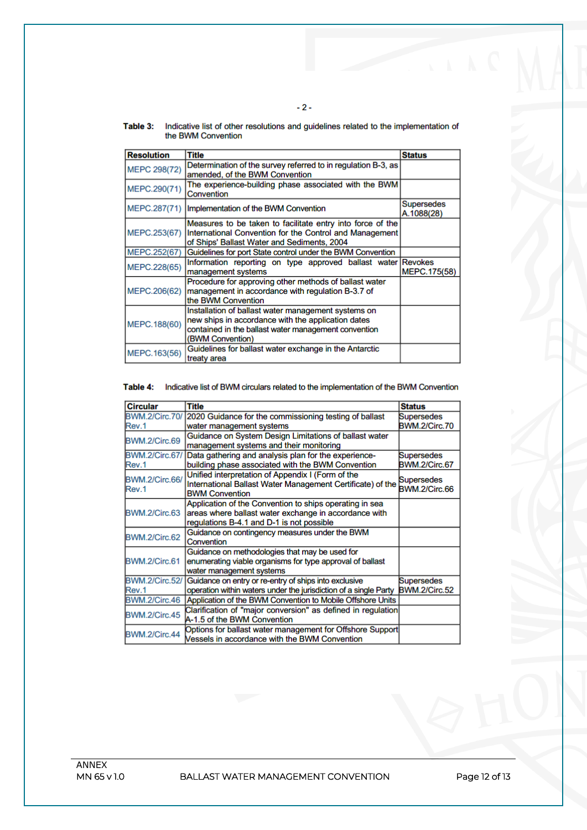| Table 3: | Indicative list of other resolutions and guidelines related to the implementation of |
|----------|--------------------------------------------------------------------------------------|
|          | the BWM Convention                                                                   |

 $-2-$ 

| <b>Resolution</b>   | <b>Title</b>                                                                                                                                                                          | <b>Status</b>                   |
|---------------------|---------------------------------------------------------------------------------------------------------------------------------------------------------------------------------------|---------------------------------|
| <b>MEPC 298(72)</b> | Determination of the survey referred to in regulation B-3, as<br>amended, of the BWM Convention                                                                                       |                                 |
| MEPC.290(71)        | The experience-building phase associated with the BWM<br>Convention                                                                                                                   |                                 |
| MEPC.287(71)        | Implementation of the BWM Convention                                                                                                                                                  | <b>Supersedes</b><br>A.1088(28) |
| MEPC.253(67)        | Measures to be taken to facilitate entry into force of the<br>International Convention for the Control and Management<br>of Ships' Ballast Water and Sediments, 2004                  |                                 |
| MEPC.252(67)        | Guidelines for port State control under the BWM Convention                                                                                                                            |                                 |
| MEPC.228(65)        | Information reporting on type approved ballast water Revokes<br>management systems                                                                                                    | MEPC.175(58)                    |
| MEPC.206(62)        | Procedure for approving other methods of ballast water<br>management in accordance with regulation B-3.7 of<br>the BWM Convention                                                     |                                 |
| MEPC. 188(60)       | Installation of ballast water management systems on<br>new ships in accordance with the application dates<br>contained in the ballast water management convention<br>(BWM Convention) |                                 |
| MEPC. 163(56)       | Guidelines for ballast water exchange in the Antarctic<br>treaty area                                                                                                                 |                                 |

Table 4: Indicative list of BWM circulars related to the implementation of the BWM Convention

| <b>Circular</b>       | <b>Title</b>                                                     | <b>Status</b>        |
|-----------------------|------------------------------------------------------------------|----------------------|
| <b>BWM.2/Circ.70/</b> | 2020 Guidance for the commissioning testing of ballast           |                      |
|                       |                                                                  | Supersedes           |
| Rev.1                 | water management systems                                         | BWM.2/Circ.70        |
| BWM.2/Circ.69         | Guidance on System Design Limitations of ballast water           |                      |
|                       | management systems and their monitoring                          |                      |
| <b>BWM.2/Circ.67/</b> | Data gathering and analysis plan for the experience-             | Supersedes           |
| Rev.1                 | building phase associated with the BWM Convention                | BWM.2/Circ.67        |
|                       | Unified interpretation of Appendix I (Form of the                |                      |
| BWM.2/Circ.66/        | International Ballast Water Management Certificate) of the       | Supersedes           |
| Rev.1                 | <b>BWM Convention</b>                                            | <b>BWM.2/Circ.66</b> |
|                       | Application of the Convention to ships operating in sea          |                      |
| BWM.2/Circ.63         | areas where ballast water exchange in accordance with            |                      |
|                       | regulations B-4.1 and D-1 is not possible                        |                      |
|                       | Guidance on contingency measures under the BWM                   |                      |
| BWM.2/Circ.62         | Convention                                                       |                      |
|                       | Guidance on methodologies that may be used for                   |                      |
| BWM.2/Circ.61         | enumerating viable organisms for type approval of ballast        |                      |
|                       | water management systems                                         |                      |
| <b>BWM.2/Circ.52/</b> | Guidance on entry or re-entry of ships into exclusive            | Supersedes           |
| Rev.1                 | operation within waters under the jurisdiction of a single Party | <b>BWM.2/Circ.52</b> |
| BWM.2/Circ.46         | Application of the BWM Convention to Mobile Offshore Units       |                      |
|                       | Clarification of "major conversion" as defined in regulation     |                      |
| BWM.2/Circ.45         | A-1.5 of the BWM Convention                                      |                      |
|                       | Options for ballast water management for Offshore Support        |                      |
| BWM.2/Circ.44         | Vessels in accordance with the BWM Convention                    |                      |